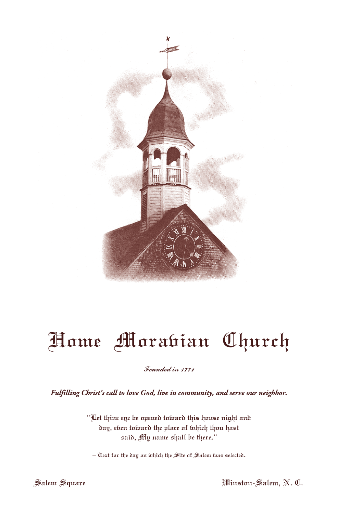

# Home Morabian Church

#### Founded in 1771

*Fulfilling Christ's call to love God, live in community, and serve our neighbor.*

"Let thine eye be opened toward this house night and day, eben toward the place of which thou hast said, My name shall be there."

 $-$  Text for the day on which the Site of Salem was selected.

Salem Square Winston-Salem, N. C.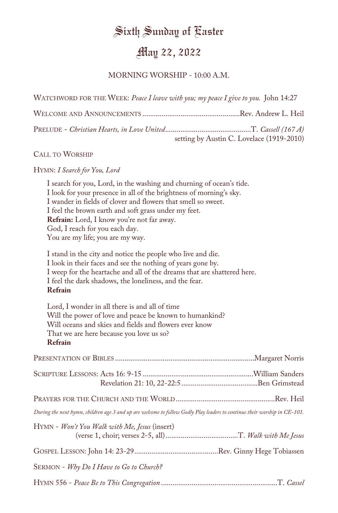## Sixth Sunday of Easter

## May 22, 2022

#### MORNING WORSHIP - 10:00 A.M.

WATCHWORD FOR THE WEEK: *Peace I leave with you; my peace I give to you.* John 14:27

| setting by Austin C. Lovelace (1919-2010) |
|-------------------------------------------|

#### CALL TO WORSHIP

#### HYMN: *I Search for You, Lord*

I search for you, Lord, in the washing and churning of ocean's tide. I look for your presence in all of the brightness of morning's sky. I wander in fields of clover and flowers that smell so sweet. I feel the brown earth and soft grass under my feet. **Refrain:** Lord, I know you're not far away. God, I reach for you each day. You are my life; you are my way.

I stand in the city and notice the people who live and die. I look in their faces and see the nothing of years gone by. I weep for the heartache and all of the dreams that are shattered here. I feel the dark shadows, the loneliness, and the fear. **Refrain**

Lord, I wonder in all there is and all of time Will the power of love and peace be known to humankind? Will oceans and skies and fields and flowers ever know That we are here because you love us so? **Refrain**

| During the next hymn, children age 3 and up are welcome to follow Godly Play leaders to continue their worship in CE-101. |  |
|---------------------------------------------------------------------------------------------------------------------------|--|
| $HYNN - Won't You Walk with Me, Jesus (insert)$                                                                           |  |
|                                                                                                                           |  |
| SERMON - Why Do I Have to Go to Church?                                                                                   |  |
|                                                                                                                           |  |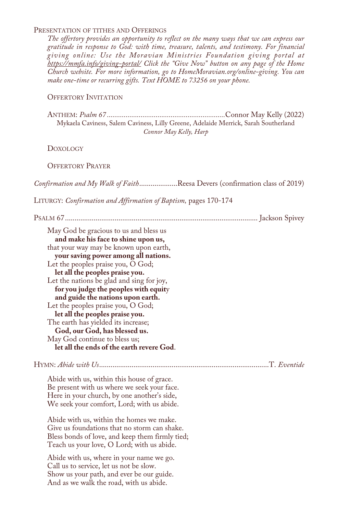#### PRESENTATION OF TITHES AND OFFERINGS

*The offertory provides an opportunity to reflect on the many ways that we can express our gratitude in response to God: with time, treasure, talents, and testimony. For financial giving online: Use the Moravian Ministries Foundation giving portal at https://mmfa.info/giving-portal/ Click the "Give Now" button on any page of the Home Church website. For more information, go to HomeMoravian.org/online-giving. You can make one-time or recurring gifts. Text HOME to 73256 on your phone.*

#### OFFERTORY INVITATION

ANTHEM: *Psalm 67 ...............................................................*Connor May Kelly (2022) Mykaela Caviness, Salem Caviness, Lilly Greene, Adelaide Merrick, Sarah Southerland *Connor May Kelly, Harp*

DOXOLOGY

OFFERTORY PRAYER

*Confirmation and My Walk of Faith*....................Reesa Devers (confirmation class of 2019)

LITURGY: *Confirmation and Affirmation of Baptism,* pages 170-174

| May God be gracious to us and bless us<br>and make his face to shine upon us,<br>that your way may be known upon earth,<br>your saving power among all nations.<br>Let the peoples praise you, O God;<br>let all the peoples praise you.<br>Let the nations be glad and sing for joy,<br>for you judge the peoples with equity<br>and guide the nations upon earth.<br>Let the peoples praise you, O God;<br>let all the peoples praise you.<br>The earth has yielded its increase;<br>God, our God, has blessed us.<br>May God continue to bless us;<br>let all the ends of the earth revere God. |
|----------------------------------------------------------------------------------------------------------------------------------------------------------------------------------------------------------------------------------------------------------------------------------------------------------------------------------------------------------------------------------------------------------------------------------------------------------------------------------------------------------------------------------------------------------------------------------------------------|
|                                                                                                                                                                                                                                                                                                                                                                                                                                                                                                                                                                                                    |
| Abide with us, within this house of grace.<br>Be present with us where we seek your face.<br>Here in your church, by one another's side,<br>We seek your comfort, Lord; with us abide.                                                                                                                                                                                                                                                                                                                                                                                                             |
| Abide with us, within the homes we make.<br>Give us foundations that no storm can shake.<br>Bless bonds of love, and keep them firmly tied;<br>Teach us your love, O Lord; with us abide.                                                                                                                                                                                                                                                                                                                                                                                                          |
| Abide with us, where in your name we go.<br>Call us to service, let us not be slow.<br>Show us your path, and ever be our guide.<br>And as we walk the road, with us abide.                                                                                                                                                                                                                                                                                                                                                                                                                        |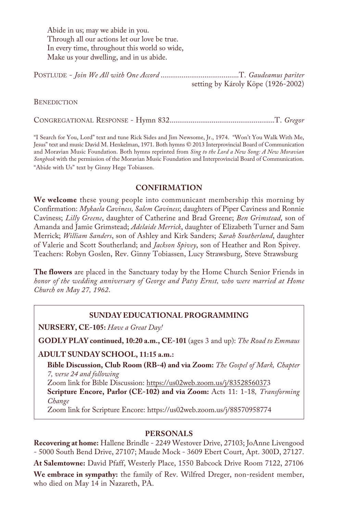Abide in us; may we abide in you. Through all our actions let our love be true. In every time, throughout this world so wide, Make us your dwelling, and in us abide.

| setting by Károly Köpe (1926-2002) |  |
|------------------------------------|--|

**BENEDICTION** 

CONGREGATIONAL RESPONSE - Hymn 832.......................................................T. *Gregor*

"I Search for You, Lord" text and tune Rick Sides and Jim Newsome, Jr., 1974. "Won't You Walk With Me, Jesus" text and music David M. Henkelman, 1971. Both hymns © 2013 Interprovincial Board of Communication and Moravian Music Foundation. Both hymns reprinted from *Sing to the Lord a New Song: A New Moravian Songbook* with the permission of the Moravian Music Foundation and Interprovincial Board of Communication. "Abide with Us" text by Ginny Hege Tobiassen.

#### **CONFIRMATION**

**We welcome** these young people into communicant membership this morning by Confirmation: *Mykaela Caviness, Salem Caviness*; daughters of Piper Caviness and Ronnie Caviness; *Lilly Greene*, daughter of Catherine and Brad Greene; *Ben Grimstead*, son of Amanda and Jamie Grimstead; *Adelaide Merrick*, daughter of Elizabeth Turner and Sam Merrick; *William Sanders*, son of Ashley and Kirk Sanders; *Sarah Southerland*, daughter of Valerie and Scott Southerland; and *Jackson Spivey*, son of Heather and Ron Spivey. Teachers: Robyn Goslen, Rev. Ginny Tobiassen, Lucy Strawsburg, Steve Strawsburg

**The flowers** are placed in the Sanctuary today by the Home Church Senior Friends in *honor of the wedding anniversary of George and Patsy Ernst, who were married at Home Church on May 27, 1962*.

#### **SUNDAY EDUCATIONAL PROGRAMMING**

**NURSERY, CE-105:** *Have a Great Day!*

**GODLY PLAY continued, 10:20 a.m., CE-101** (ages 3 and up): *The Road to Emmaus*

#### **ADULT SUNDAY SCHOOL, 11:15 a.m.:**

**Bible Discussion, Club Room (RB-4) and via Zoom:** *The Gospel of Mark, Chapter 7, verse 24 and following*

Zoom link for Bible Discussion: https://us02web.zoom.us/j/83528560373

**Scripture Encore, Parlor (CE-102) and via Zoom:** Acts 11: 1-18*, Transforming Change*

Zoom link for Scripture Encore: https://us02web.zoom.us/j/88570958774

#### **PERSONALS**

**Recovering at home:** Hallene Brindle - 2249 Westover Drive, 27103; JoAnne Livengood - 5000 South Bend Drive, 27107; Maude Mock - 3609 Ebert Court, Apt. 300D, 27127.

**At Salemtowne:** David Pfaff, Westerly Place, 1550 Babcock Drive Room 7122, 27106 **We embrace in sympathy:** the family of Rev. Wilfred Dreger, non-resident member, who died on May 14 in Nazareth, PA.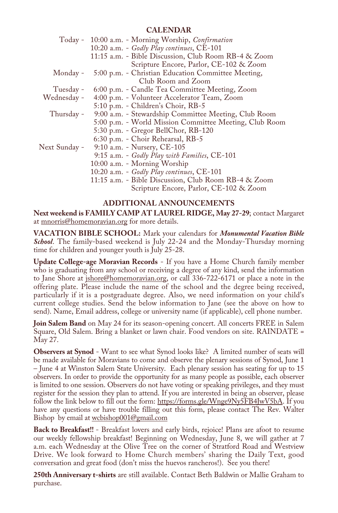#### **CALENDAR**

|               | Today - 10:00 a.m. - Morning Worship, Confirmation     |
|---------------|--------------------------------------------------------|
|               | 10:20 a.m. - Godly Play continues, CE-101              |
|               | 11:15 a.m. - Bible Discussion, Club Room RB-4 & Zoom   |
|               | Scripture Encore, Parlor, CE-102 & Zoom                |
| Monday -      | 5:00 p.m. - Christian Education Committee Meeting,     |
|               | Club Room and Zoom                                     |
| Tuesday -     | 6:00 p.m. - Candle Tea Committee Meeting, Zoom         |
| Wednesday -   | 4:00 p.m. - Volunteer Accelerator Team, Zoom           |
|               | 5:10 p.m. - Children's Choir, RB-5                     |
| Thursday -    | 9:00 a.m. - Stewardship Committee Meeting, Club Room   |
|               | 5:00 p.m. - World Mission Committee Meeting, Club Room |
|               | 5:30 p.m. - Gregor BellChor, RB-120                    |
|               | 6:30 p.m. - Choir Rehearsal, RB-5                      |
| Next Sunday - | 9:10 a.m. - Nursery, CE-105                            |
|               | 9:15 a.m. - Godly Play with Families, CE-101           |
|               | 10:00 a.m. - Morning Worship                           |
|               | 10:20 a.m. - Godly Play continues, CE-101              |
|               | 11:15 a.m. - Bible Discussion, Club Room RB-4 & Zoom   |
|               | Scripture Encore, Parlor, CE-102 & Zoom                |
|               |                                                        |

#### **ADDITIONAL ANNOUNCEMENTS**

**Next weekend is FAMILY CAMP AT LAUREL RIDGE, May 27-29**; contact Margaret at mnorris@homemoravian.org for more details.

**VACATION BIBLE SCHOOL:** Mark your calendars for *Monumental Vacation Bible School*. The family-based weekend is July 22-24 and the Monday-Thursday morning time for children and younger youth is July 25-28.

**Update College-age Moravian Records** - If you have a Home Church family member who is graduating from any school or receiving a degree of any kind, send the information to Jane Shore at jshore@homemoravian.org, or call 336-722-6171 or place a note in the offering plate. Please include the name of the school and the degree being received, particularly if it is a postgraduate degree. Also, we need information on your child's current college studies. Send the below information to Jane (see the above on how to send). Name, Email address, college or university name (if applicable), cell phone number.

**Join Salem Band** on May 24 for its season-opening concert. All concerts FREE in Salem Square, Old Salem. Bring a blanket or lawn chair. Food vendors on site. RAINDATE = May 27.

**Observers at Synod** - Want to see what Synod looks like? A limited number of seats will be made available for Moravians to come and observe the plenary sessions of Synod, June 1 – June 4 at Winston Salem State University. Each plenary session has seating for up to 15 observers. In order to provide the opportunity for as many people as possible, each observer is limited to one session. Observers do not have voting or speaking privileges, and they must register for the session they plan to attend. If you are interested in being an observer, please follow the link below to fill out the form: https://forms.gle/Wnge9Ny5FB4JwV5bA. If you have any questions or have trouble filling out this form, please contact The Rev. Walter Bishop by email at wcbishop001@gmail.com

**Back to Breakfast!!** - Breakfast lovers and early birds, rejoice! Plans are afoot to resume our weekly fellowship breakfast! Beginning on Wednesday, June 8, we will gather at 7 a.m. each Wednesday at the Olive Tree on the corner of Stratford Road and Westview Drive. We look forward to Home Church members' sharing the Daily Text, good conversation and great food (don't miss the huevos rancheros!). See you there!

**250th Anniversary t-shirts** are still available. Contact Beth Baldwin or Mallie Graham to purchase.